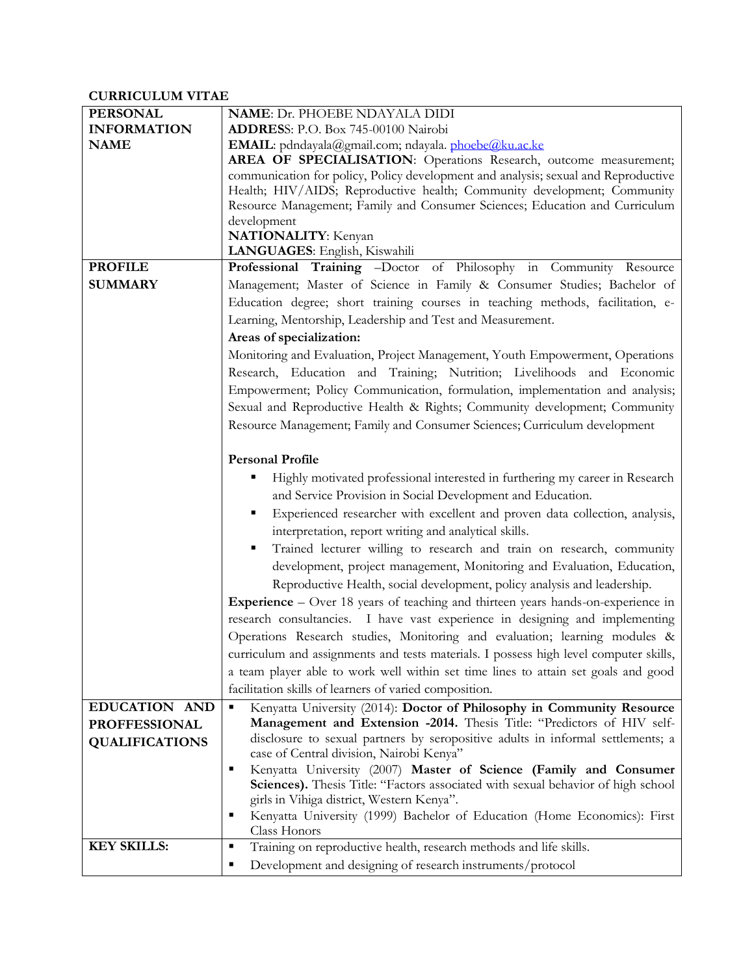# **CURRICULUM VITAE**

| <b>PERSONAL</b>       | <b>NAME: Dr. PHOEBE NDAYALA DIDI</b>                                                    |
|-----------------------|-----------------------------------------------------------------------------------------|
| <b>INFORMATION</b>    | ADDRESS: P.O. Box 745-00100 Nairobi                                                     |
| <b>NAME</b>           | EMAIL: pdndayala@gmail.com; ndayala. phoebe@ku.ac.ke                                    |
|                       | AREA OF SPECIALISATION: Operations Research, outcome measurement;                       |
|                       | communication for policy, Policy development and analysis; sexual and Reproductive      |
|                       | Health; HIV/AIDS; Reproductive health; Community development; Community                 |
|                       | Resource Management; Family and Consumer Sciences; Education and Curriculum             |
|                       | development                                                                             |
|                       | <b>NATIONALITY:</b> Kenyan                                                              |
|                       | LANGUAGES: English, Kiswahili                                                           |
| <b>PROFILE</b>        | Professional Training -Doctor of Philosophy in Community Resource                       |
| <b>SUMMARY</b>        | Management; Master of Science in Family & Consumer Studies; Bachelor of                 |
|                       | Education degree; short training courses in teaching methods, facilitation, e-          |
|                       | Learning, Mentorship, Leadership and Test and Measurement.                              |
|                       | Areas of specialization:                                                                |
|                       | Monitoring and Evaluation, Project Management, Youth Empowerment, Operations            |
|                       | Research, Education and Training; Nutrition; Livelihoods and Economic                   |
|                       | Empowerment; Policy Communication, formulation, implementation and analysis;            |
|                       | Sexual and Reproductive Health & Rights; Community development; Community               |
|                       | Resource Management; Family and Consumer Sciences; Curriculum development               |
|                       |                                                                                         |
|                       | <b>Personal Profile</b>                                                                 |
|                       | ٠                                                                                       |
|                       | Highly motivated professional interested in furthering my career in Research            |
|                       | and Service Provision in Social Development and Education.                              |
|                       | Experienced researcher with excellent and proven data collection, analysis,<br>п        |
|                       | interpretation, report writing and analytical skills.                                   |
|                       | Trained lecturer willing to research and train on research, community<br>٠              |
|                       | development, project management, Monitoring and Evaluation, Education,                  |
|                       | Reproductive Health, social development, policy analysis and leadership.                |
|                       | <b>Experience</b> – Over 18 years of teaching and thirteen years hands-on-experience in |
|                       | research consultancies. I have vast experience in designing and implementing            |
|                       | Operations Research studies, Monitoring and evaluation; learning modules &              |
|                       | curriculum and assignments and tests materials. I possess high level computer skills,   |
|                       | a team player able to work well within set time lines to attain set goals and good      |
|                       | facilitation skills of learners of varied composition.                                  |
| EDUCATION AND         | Kenyatta University (2014): Doctor of Philosophy in Community Resource<br>п             |
| <b>PROFFESSIONAL</b>  | Management and Extension -2014. Thesis Title: "Predictors of HIV self-                  |
| <b>QUALIFICATIONS</b> | disclosure to sexual partners by seropositive adults in informal settlements; a         |
|                       | case of Central division, Nairobi Kenya"                                                |
|                       | Kenyatta University (2007) Master of Science (Family and Consumer<br>п                  |
|                       | Sciences). Thesis Title: "Factors associated with sexual behavior of high school        |
|                       | girls in Vihiga district, Western Kenya".                                               |
|                       | Kenyatta University (1999) Bachelor of Education (Home Economics): First<br>٠           |
|                       | Class Honors                                                                            |
| <b>KEY SKILLS:</b>    | Training on reproductive health, research methods and life skills.<br>٠                 |
|                       | Development and designing of research instruments/protocol<br>п                         |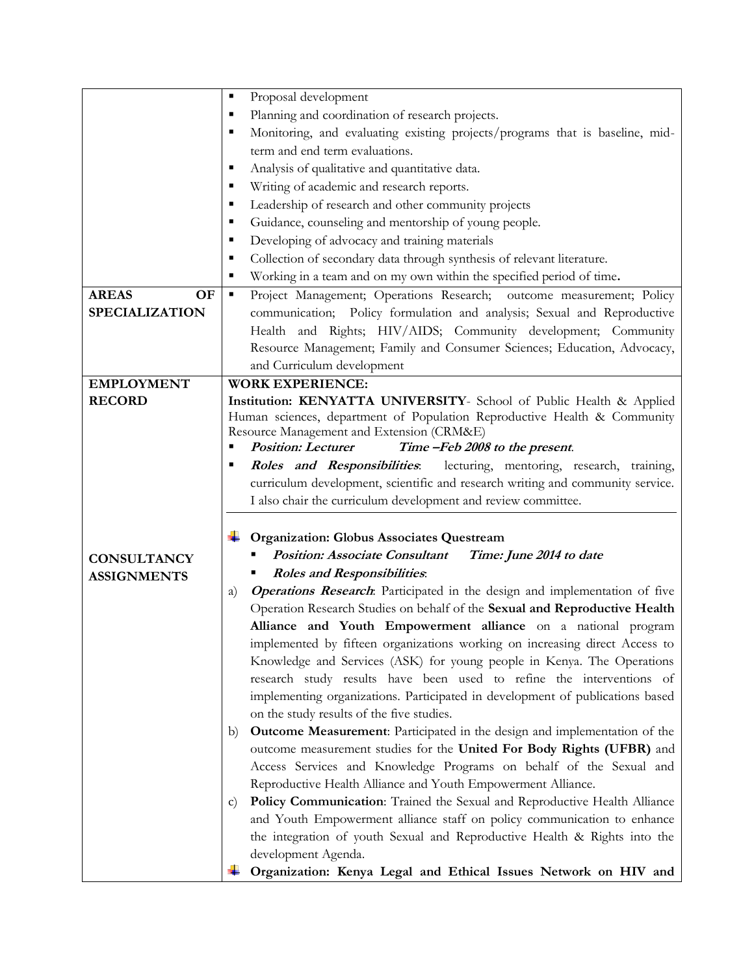|                       | Proposal development<br>٠                                                                                     |
|-----------------------|---------------------------------------------------------------------------------------------------------------|
|                       | Planning and coordination of research projects.<br>$\blacksquare$                                             |
|                       | Monitoring, and evaluating existing projects/programs that is baseline, mid-<br>$\blacksquare$                |
|                       | term and end term evaluations.                                                                                |
|                       | Analysis of qualitative and quantitative data.<br>٠                                                           |
|                       | Writing of academic and research reports.<br>٠                                                                |
|                       | Leadership of research and other community projects<br>٠                                                      |
|                       | Guidance, counseling and mentorship of young people.<br>٠                                                     |
|                       | Developing of advocacy and training materials<br>٠                                                            |
|                       | Collection of secondary data through synthesis of relevant literature.<br>п                                   |
|                       | Working in a team and on my own within the specified period of time.<br>٠                                     |
| <b>AREAS</b><br>OF    | Project Management; Operations Research; outcome measurement; Policy<br>٠                                     |
| <b>SPECIALIZATION</b> | communication; Policy formulation and analysis; Sexual and Reproductive                                       |
|                       | Health and Rights; HIV/AIDS; Community development; Community                                                 |
|                       | Resource Management; Family and Consumer Sciences; Education, Advocacy,                                       |
|                       | and Curriculum development                                                                                    |
| <b>EMPLOYMENT</b>     | <b>WORK EXPERIENCE:</b>                                                                                       |
| <b>RECORD</b>         | Institution: KENYATTA UNIVERSITY- School of Public Health & Applied                                           |
|                       | Human sciences, department of Population Reproductive Health & Community                                      |
|                       | Resource Management and Extension (CRM&E)<br><b>Position: Lecturer</b><br>Time -Feb 2008 to the present.<br>٠ |
|                       | Roles and Responsibilities: lecturing, mentoring, research, training,                                         |
|                       | curriculum development, scientific and research writing and community service.                                |
|                       | I also chair the curriculum development and review committee.                                                 |
|                       |                                                                                                               |
|                       | Organization: Globus Associates Questream                                                                     |
|                       | <b>Position: Associate Consultant</b><br>Time: June 2014 to date                                              |
| <b>CONSULTANCY</b>    | <b>Roles and Responsibilities:</b>                                                                            |
| <b>ASSIGNMENTS</b>    | <b>Operations Research</b> : Participated in the design and implementation of five<br>a)                      |
|                       | Operation Research Studies on behalf of the Sexual and Reproductive Health                                    |
|                       | Alliance and Youth Empowerment alliance on a national program                                                 |
|                       | implemented by fifteen organizations working on increasing direct Access to                                   |
|                       | Knowledge and Services (ASK) for young people in Kenya. The Operations                                        |
|                       | research study results have been used to refine the interventions of                                          |
|                       | implementing organizations. Participated in development of publications based                                 |
|                       | on the study results of the five studies.                                                                     |
|                       | <b>Outcome Measurement:</b> Participated in the design and implementation of the<br>b)                        |
|                       | outcome measurement studies for the United For Body Rights (UFBR) and                                         |
|                       | Access Services and Knowledge Programs on behalf of the Sexual and                                            |
|                       | Reproductive Health Alliance and Youth Empowerment Alliance.                                                  |
|                       | Policy Communication: Trained the Sexual and Reproductive Health Alliance<br>$\mathbf{C}$                     |
|                       | and Youth Empowerment alliance staff on policy communication to enhance                                       |
|                       | the integration of youth Sexual and Reproductive Health & Rights into the                                     |
|                       |                                                                                                               |
|                       | development Agenda.                                                                                           |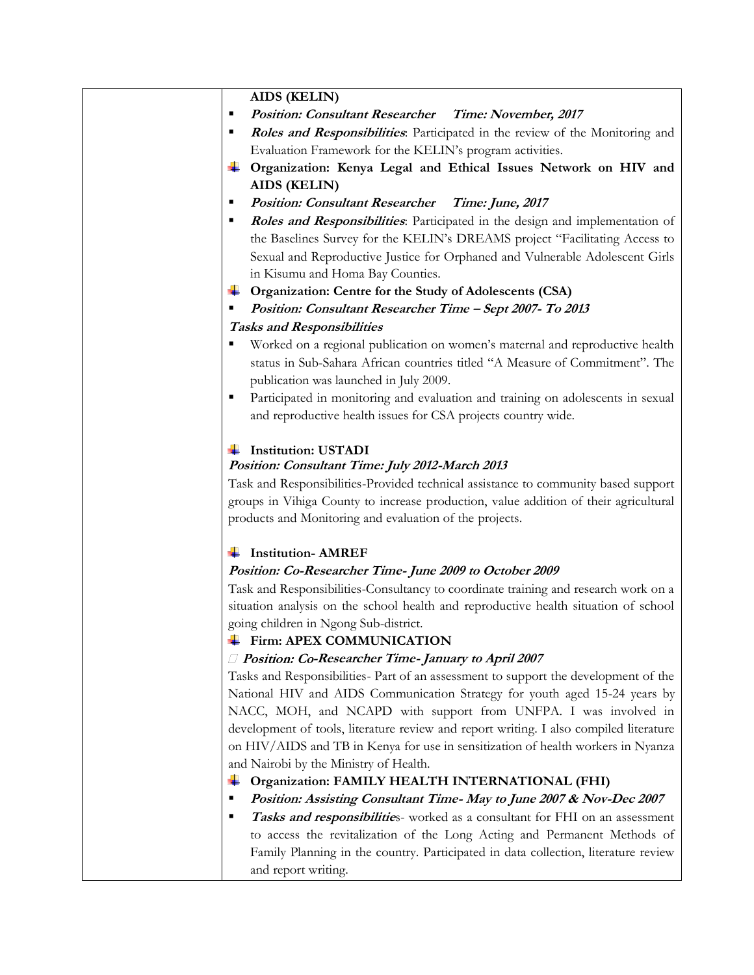## **AIDS (KELIN)**

- **Position: Consultant Researcher Time: November, 2017**
- **Roles and Responsibilities**: Participated in the review of the Monitoring and Evaluation Framework for the KELIN's program activities.
- **Organization: Kenya Legal and Ethical Issues Network on HIV and AIDS (KELIN)**
- **Position: Consultant Researcher Time: June, 2017**
- **Roles and Responsibilities**: Participated in the design and implementation of the Baselines Survey for the KELIN's DREAMS project "Facilitating Access to Sexual and Reproductive Justice for Orphaned and Vulnerable Adolescent Girls in Kisumu and Homa Bay Counties.
- **Organization: Centre for the Study of Adolescents (CSA)**
- **Position: Consultant Researcher Time – Sept 2007- To 2013**

#### **Tasks and Responsibilities**

- Worked on a regional publication on women's maternal and reproductive health status in Sub-Sahara African countries titled "A Measure of Commitment". The publication was launched in July 2009.
- Participated in monitoring and evaluation and training on adolescents in sexual and reproductive health issues for CSA projects country wide.

#### **Institution: USTADI**

#### **Position: Consultant Time: July 2012-March 2013**

Task and Responsibilities-Provided technical assistance to community based support groups in Vihiga County to increase production, value addition of their agricultural products and Monitoring and evaluation of the projects.

## **Institution- AMREF**

## **Position: Co-Researcher Time- June 2009 to October 2009**

Task and Responsibilities-Consultancy to coordinate training and research work on a situation analysis on the school health and reproductive health situation of school going children in Ngong Sub-district.

## **Firm: APEX COMMUNICATION**

#### *D* Position: Co-Researcher Time- January to April 2007

Tasks and Responsibilities- Part of an assessment to support the development of the National HIV and AIDS Communication Strategy for youth aged 15-24 years by NACC, MOH, and NCAPD with support from UNFPA. I was involved in development of tools, literature review and report writing. I also compiled literature on HIV/AIDS and TB in Kenya for use in sensitization of health workers in Nyanza and Nairobi by the Ministry of Health.

## **Organization: FAMILY HEALTH INTERNATIONAL (FHI)**

- **Position: Assisting Consultant Time- May to June 2007 & Nov-Dec 2007**
- **Tasks and responsibilities**-worked as a consultant for FHI on an assessment to access the revitalization of the Long Acting and Permanent Methods of Family Planning in the country. Participated in data collection, literature review and report writing.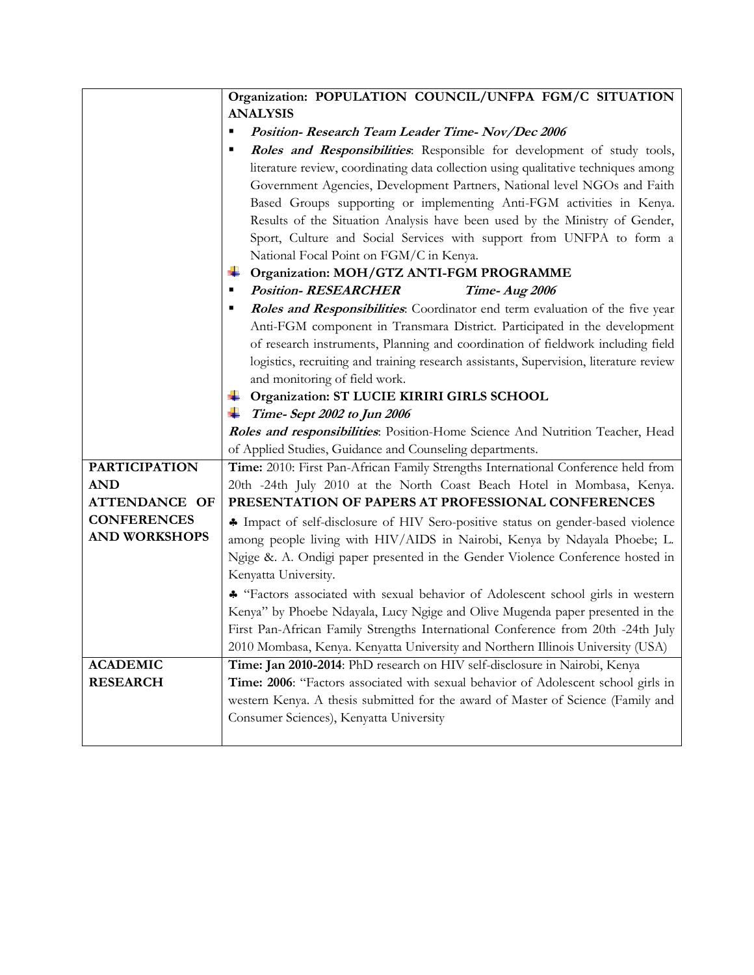|                      | Organization: POPULATION COUNCIL/UNFPA FGM/C SITUATION                                                                                                                                                                                                                                                                                                                                                                                                                                |
|----------------------|---------------------------------------------------------------------------------------------------------------------------------------------------------------------------------------------------------------------------------------------------------------------------------------------------------------------------------------------------------------------------------------------------------------------------------------------------------------------------------------|
|                      | <b>ANALYSIS</b>                                                                                                                                                                                                                                                                                                                                                                                                                                                                       |
|                      | Position-Research Team Leader Time-Nov/Dec 2006                                                                                                                                                                                                                                                                                                                                                                                                                                       |
|                      | Roles and Responsibilities. Responsible for development of study tools,                                                                                                                                                                                                                                                                                                                                                                                                               |
|                      | literature review, coordinating data collection using qualitative techniques among<br>Government Agencies, Development Partners, National level NGOs and Faith<br>Based Groups supporting or implementing Anti-FGM activities in Kenya.<br>Results of the Situation Analysis have been used by the Ministry of Gender,<br>Sport, Culture and Social Services with support from UNFPA to form a<br>National Focal Point on FGM/C in Kenya.<br>Organization: MOH/GTZ ANTI-FGM PROGRAMME |
|                      | <b>Position-RESEARCHER</b><br>Time-Aug 2006                                                                                                                                                                                                                                                                                                                                                                                                                                           |
|                      | Roles and Responsibilities. Coordinator end term evaluation of the five year<br>Anti-FGM component in Transmara District. Participated in the development<br>of research instruments, Planning and coordination of fieldwork including field<br>logistics, recruiting and training research assistants, Supervision, literature review<br>and monitoring of field work.                                                                                                               |
|                      | Organization: ST LUCIE KIRIRI GIRLS SCHOOL                                                                                                                                                                                                                                                                                                                                                                                                                                            |
|                      | Time-Sept 2002 to Jun 2006                                                                                                                                                                                                                                                                                                                                                                                                                                                            |
|                      | Roles and responsibilities: Position-Home Science And Nutrition Teacher, Head                                                                                                                                                                                                                                                                                                                                                                                                         |
| <b>PARTICIPATION</b> | of Applied Studies, Guidance and Counseling departments.                                                                                                                                                                                                                                                                                                                                                                                                                              |
| <b>AND</b>           | Time: 2010: First Pan-African Family Strengths International Conference held from<br>20th -24th July 2010 at the North Coast Beach Hotel in Mombasa, Kenya.                                                                                                                                                                                                                                                                                                                           |
| <b>ATTENDANCE OF</b> | PRESENTATION OF PAPERS AT PROFESSIONAL CONFERENCES                                                                                                                                                                                                                                                                                                                                                                                                                                    |
| <b>CONFERENCES</b>   |                                                                                                                                                                                                                                                                                                                                                                                                                                                                                       |
| <b>AND WORKSHOPS</b> | • Impact of self-disclosure of HIV Sero-positive status on gender-based violence                                                                                                                                                                                                                                                                                                                                                                                                      |
|                      | among people living with HIV/AIDS in Nairobi, Kenya by Ndayala Phoebe; L.<br>Ngige &. A. Ondigi paper presented in the Gender Violence Conference hosted in                                                                                                                                                                                                                                                                                                                           |
|                      | Kenyatta University.                                                                                                                                                                                                                                                                                                                                                                                                                                                                  |
|                      | * "Factors associated with sexual behavior of Adolescent school girls in western<br>Kenya" by Phoebe Ndayala, Lucy Ngige and Olive Mugenda paper presented in the<br>First Pan-African Family Strengths International Conference from 20th -24th July<br>2010 Mombasa, Kenya. Kenyatta University and Northern Illinois University (USA)                                                                                                                                              |
| <b>ACADEMIC</b>      | Time: Jan 2010-2014: PhD research on HIV self-disclosure in Nairobi, Kenya                                                                                                                                                                                                                                                                                                                                                                                                            |
| <b>RESEARCH</b>      | Time: 2006: "Factors associated with sexual behavior of Adolescent school girls in                                                                                                                                                                                                                                                                                                                                                                                                    |
|                      | western Kenya. A thesis submitted for the award of Master of Science (Family and                                                                                                                                                                                                                                                                                                                                                                                                      |
|                      | Consumer Sciences), Kenyatta University                                                                                                                                                                                                                                                                                                                                                                                                                                               |
|                      |                                                                                                                                                                                                                                                                                                                                                                                                                                                                                       |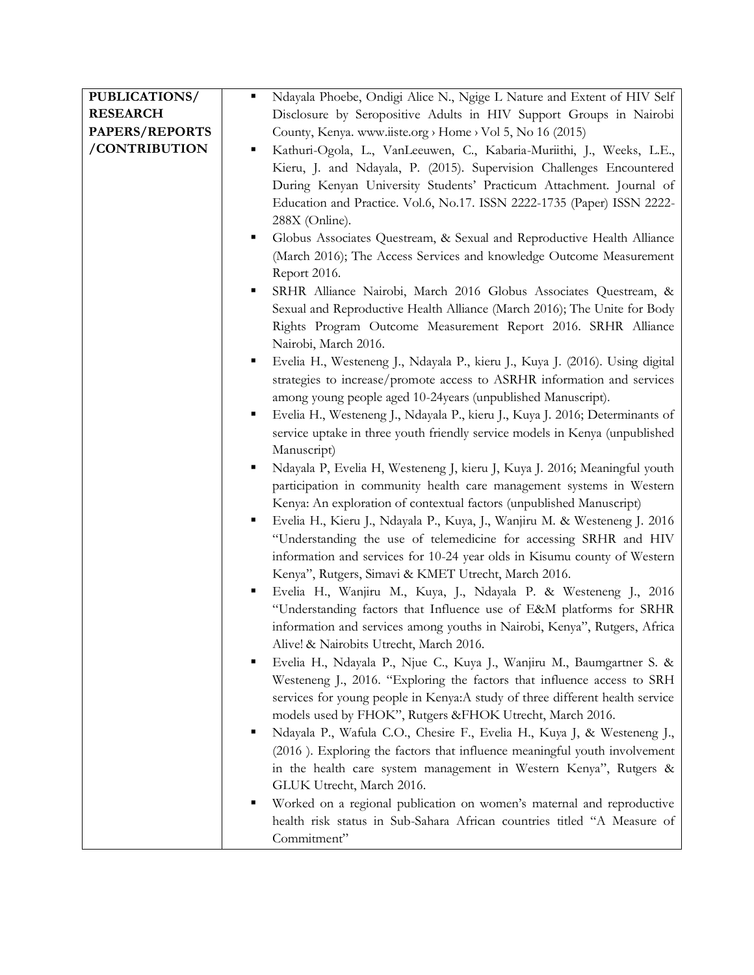| <b>PUBLICATIONS/</b> | Ndayala Phoebe, Ondigi Alice N., Ngige L Nature and Extent of HIV Self            |
|----------------------|-----------------------------------------------------------------------------------|
| <b>RESEARCH</b>      | Disclosure by Seropositive Adults in HIV Support Groups in Nairobi                |
| PAPERS/REPORTS       | County, Kenya. www.iiste.org > Home > Vol 5, No 16 (2015)                         |
| /CONTRIBUTION        | Kathuri-Ogola, L., VanLeeuwen, C., Kabaria-Muriithi, J., Weeks, L.E.,             |
|                      | Kieru, J. and Ndayala, P. (2015). Supervision Challenges Encountered              |
|                      | During Kenyan University Students' Practicum Attachment. Journal of               |
|                      | Education and Practice. Vol.6, No.17. ISSN 2222-1735 (Paper) ISSN 2222-           |
|                      | 288X (Online).                                                                    |
|                      | Globus Associates Questream, & Sexual and Reproductive Health Alliance<br>٠       |
|                      | (March 2016); The Access Services and knowledge Outcome Measurement               |
|                      | Report 2016.                                                                      |
|                      | SRHR Alliance Nairobi, March 2016 Globus Associates Questream, &<br>٠             |
|                      | Sexual and Reproductive Health Alliance (March 2016); The Unite for Body          |
|                      | Rights Program Outcome Measurement Report 2016. SRHR Alliance                     |
|                      | Nairobi, March 2016.                                                              |
|                      | Evelia H., Westeneng J., Ndayala P., kieru J., Kuya J. (2016). Using digital<br>٠ |
|                      | strategies to increase/promote access to ASRHR information and services           |
|                      | among young people aged 10-24years (unpublished Manuscript).                      |
|                      | Evelia H., Westeneng J., Ndayala P., kieru J., Kuya J. 2016; Determinants of<br>٠ |
|                      | service uptake in three youth friendly service models in Kenya (unpublished       |
|                      | Manuscript)                                                                       |
|                      | Ndayala P, Evelia H, Westeneng J, kieru J, Kuya J. 2016; Meaningful youth         |
|                      | participation in community health care management systems in Western              |
|                      | Kenya: An exploration of contextual factors (unpublished Manuscript)              |
|                      | Evelia H., Kieru J., Ndayala P., Kuya, J., Wanjiru M. & Westeneng J. 2016<br>٠    |
|                      | "Understanding the use of telemedicine for accessing SRHR and HIV                 |
|                      | information and services for 10-24 year olds in Kisumu county of Western          |
|                      | Kenya", Rutgers, Simavi & KMET Utrecht, March 2016.                               |
|                      | Evelia H., Wanjiru M., Kuya, J., Ndayala P. & Westeneng J., 2016                  |
|                      | "Understanding factors that Influence use of E&M platforms for SRHR               |
|                      | information and services among youths in Nairobi, Kenya", Rutgers, Africa         |
|                      | Alive! & Nairobits Utrecht, March 2016.                                           |
|                      | Evelia H., Ndayala P., Njue C., Kuya J., Wanjiru M., Baumgartner S. &<br>п        |
|                      | Westeneng J., 2016. "Exploring the factors that influence access to SRH           |
|                      | services for young people in Kenya:A study of three different health service      |
|                      | models used by FHOK", Rutgers & FHOK Utrecht, March 2016.                         |
|                      | Ndayala P., Wafula C.O., Chesire F., Evelia H., Kuya J, & Westeneng J.,           |
|                      | (2016). Exploring the factors that influence meaningful youth involvement         |
|                      | in the health care system management in Western Kenya", Rutgers &                 |
|                      | GLUK Utrecht, March 2016.                                                         |
|                      | Worked on a regional publication on women's maternal and reproductive             |
|                      | health risk status in Sub-Sahara African countries titled "A Measure of           |
|                      | Commitment"                                                                       |
|                      |                                                                                   |